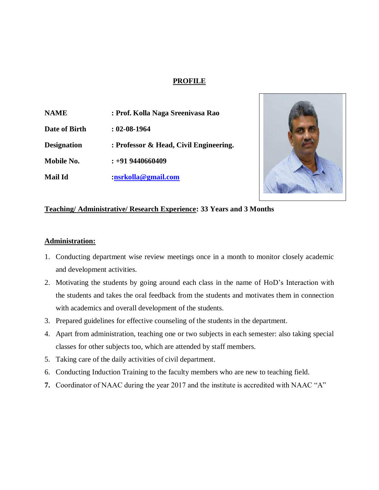### **PROFILE**

**NAME : Prof. Kolla Naga Sreenivasa Rao Date of Birth : 02-08-1964 Designation : Professor & Head, Civil Engineering. Mobile No. : +91 9440660409 Mail Id [:nsrkolla@gmail.com](mailto:nsrkolla@gmail.com)**



### **Teaching/ Administrative/ Research Experience: 33 Years and 3 Months**

### **Administration:**

- 1. Conducting department wise review meetings once in a month to monitor closely academic and development activities.
- 2. Motivating the students by going around each class in the name of HoD's Interaction with the students and takes the oral feedback from the students and motivates them in connection with academics and overall development of the students.
- 3. Prepared guidelines for effective counseling of the students in the department.
- 4. Apart from administration, teaching one or two subjects in each semester: also taking special classes for other subjects too, which are attended by staff members.
- 5. Taking care of the daily activities of civil department.
- 6. Conducting Induction Training to the faculty members who are new to teaching field.
- **7.** Coordinator of NAAC during the year 2017 and the institute is accredited with NAAC "A"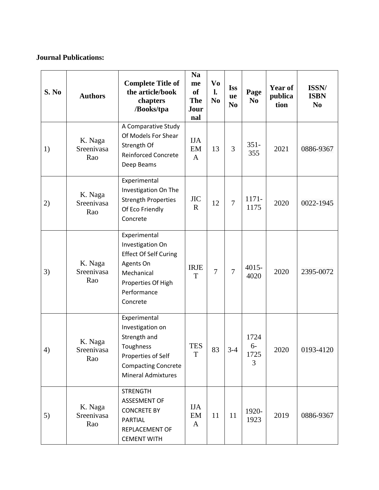# **Journal Publications:**

| S. No | <b>Authors</b>               | <b>Complete Title of</b><br>the article/book<br>chapters<br>/Books/tpa                                                                         | <b>Na</b><br>me<br><b>of</b><br><b>The</b><br>Jour<br>nal | Vo<br>$\mathbf{l}$ .<br>N <sub>0</sub> | <b>Iss</b><br>ue<br>N <sub>0</sub> | Page<br>N <sub>0</sub>    | Year of<br>publica<br>tion | ISSN/<br><b>ISBN</b><br>N <sub>0</sub> |
|-------|------------------------------|------------------------------------------------------------------------------------------------------------------------------------------------|-----------------------------------------------------------|----------------------------------------|------------------------------------|---------------------------|----------------------------|----------------------------------------|
| 1)    | K. Naga<br>Sreenivasa<br>Rao | A Comparative Study<br>Of Models For Shear<br>Strength Of<br><b>Reinforced Concrete</b><br>Deep Beams                                          | <b>IJA</b><br>EM<br>$\mathbf{A}$                          | 13                                     | 3                                  | $351 -$<br>355            | 2021                       | 0886-9367                              |
| 2)    | K. Naga<br>Sreenivasa<br>Rao | Experimental<br>Investigation On The<br><b>Strength Properties</b><br>Of Eco Friendly<br>Concrete                                              | $_{\mathrm{JIC}}$<br>$\mathbf R$                          | 12                                     | $\overline{7}$                     | 1171-<br>1175             | 2020                       | 0022-1945                              |
| 3)    | K. Naga<br>Sreenivasa<br>Rao | Experimental<br>Investigation On<br><b>Effect Of Self Curing</b><br>Agents On<br>Mechanical<br>Properties Of High<br>Performance<br>Concrete   | <b>IRJE</b><br>T                                          | $\overline{7}$                         | $\overline{7}$                     | $4015 -$<br>4020          | 2020                       | 2395-0072                              |
| 4)    | K. Naga<br>Sreenivasa<br>Rao | Experimental<br>Investigation on<br>Strength and<br>Toughness<br>Properties of Self<br><b>Compacting Concrete</b><br><b>Mineral Admixtures</b> | <b>TES</b><br>T                                           | 83                                     | $3-4$                              | 1724<br>$6-$<br>1725<br>3 | 2020                       | 0193-4120                              |
| 5)    | K. Naga<br>Sreenivasa<br>Rao | <b>STRENGTH</b><br><b>ASSESMENT OF</b><br><b>CONCRETE BY</b><br>PARTIAL<br>REPLACEMENT OF<br><b>CEMENT WITH</b>                                | <b>IJA</b><br>EM<br>A                                     | 11                                     | 11                                 | 1920-<br>1923             | 2019                       | 0886-9367                              |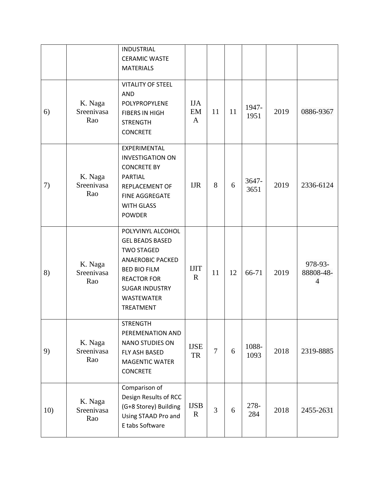|     |                              | <b>INDUSTRIAL</b><br><b>CERAMIC WASTE</b><br><b>MATERIALS</b>                                                                                                                                              |                                  |                |    |               |      |                                        |
|-----|------------------------------|------------------------------------------------------------------------------------------------------------------------------------------------------------------------------------------------------------|----------------------------------|----------------|----|---------------|------|----------------------------------------|
| 6)  | K. Naga<br>Sreenivasa<br>Rao | <b>VITALITY OF STEEL</b><br><b>AND</b><br>POLYPROPYLENE<br><b>FIBERS IN HIGH</b><br><b>STRENGTH</b><br><b>CONCRETE</b>                                                                                     | <b>IJA</b><br>EM<br>$\mathbf{A}$ | 11             | 11 | 1947-<br>1951 | 2019 | 0886-9367                              |
| 7)  | K. Naga<br>Sreenivasa<br>Rao | EXPERIMENTAL<br><b>INVESTIGATION ON</b><br><b>CONCRETE BY</b><br><b>PARTIAL</b><br>REPLACEMENT OF<br>FINE AGGREGATE<br><b>WITH GLASS</b><br><b>POWDER</b>                                                  | <b>IJR</b>                       | 8              | 6  | 3647-<br>3651 | 2019 | 2336-6124                              |
| 8)  | K. Naga<br>Sreenivasa<br>Rao | POLYVINYL ALCOHOL<br><b>GEL BEADS BASED</b><br><b>TWO STAGED</b><br><b>ANAEROBIC PACKED</b><br><b>BED BIO FILM</b><br><b>REACTOR FOR</b><br><b>SUGAR INDUSTRY</b><br><b>WASTEWATER</b><br><b>TREATMENT</b> | <b>IJIT</b><br>$\mathbf R$       | 11             | 12 | 66-71         | 2019 | 978-93-<br>88808-48-<br>$\overline{4}$ |
| 9)  | K. Naga<br>Sreenivasa<br>Rao | <b>STRENGTH</b><br>PEREMENATION AND<br><b>NANO STUDIES ON</b><br>FLY ASH BASED<br><b>MAGENTIC WATER</b><br><b>CONCRETE</b>                                                                                 | <b>IJSE</b><br>TR                | $\overline{7}$ | 6  | 1088-<br>1093 | 2018 | 2319-8885                              |
| 10) | K. Naga<br>Sreenivasa<br>Rao | Comparison of<br>Design Results of RCC<br>(G+8 Storey) Building<br>Using STAAD Pro and<br>E tabs Software                                                                                                  | <b>IJSB</b><br>$\mathbf{R}$      | 3              | 6  | 278-<br>284   | 2018 | 2455-2631                              |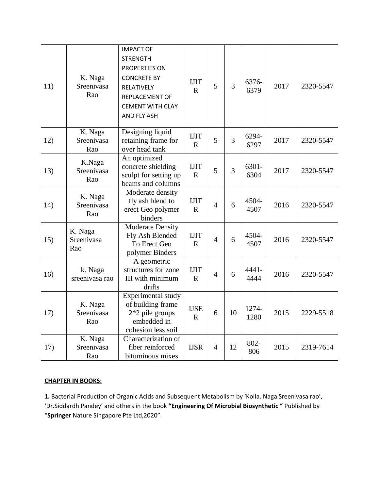| 11) | K. Naga<br>Sreenivasa<br>Rao | <b>IMPACT OF</b><br><b>STRENGTH</b><br>PROPERTIES ON<br><b>CONCRETE BY</b><br>RELATIVELY<br>REPLACEMENT OF<br><b>CEMENT WITH CLAY</b><br>AND FLY ASH | <b>IJIT</b><br>$\mathbf R$ | 5              | $\overline{3}$ | 6376-<br>6379 | 2017 | 2320-5547 |
|-----|------------------------------|------------------------------------------------------------------------------------------------------------------------------------------------------|----------------------------|----------------|----------------|---------------|------|-----------|
| 12) | K. Naga<br>Sreenivasa<br>Rao | Designing liquid<br>retaining frame for<br>over head tank                                                                                            | <b>IJIT</b><br>$\mathbf R$ | 5              | 3              | 6294-<br>6297 | 2017 | 2320-5547 |
| 13) | K.Naga<br>Sreenivasa<br>Rao  | An optimized<br>concrete shielding<br>sculpt for setting up<br>beams and columns                                                                     | <b>IJIT</b><br>$\mathbf R$ | 5              | $\overline{3}$ | 6301-<br>6304 | 2017 | 2320-5547 |
| 14) | K. Naga<br>Sreenivasa<br>Rao | Moderate density<br>fly ash blend to<br>erect Geo polymer<br>binders                                                                                 | <b>IJIT</b><br>$\mathbf R$ | $\overline{4}$ | 6              | 4504-<br>4507 | 2016 | 2320-5547 |
| 15) | K. Naga<br>Sreenivasa<br>Rao | Moderate Density<br>Fly Ash Blended<br>To Erect Geo<br>polymer Binders                                                                               | <b>IJIT</b><br>$\mathbf R$ | $\overline{4}$ | 6              | 4504-<br>4507 | 2016 | 2320-5547 |
| 16) | k. Naga<br>sreenivasa rao    | A geometric<br>structures for zone<br>III with minimum<br>drifts                                                                                     | <b>IJIT</b><br>$\mathbf R$ | $\overline{4}$ | 6              | 4441-<br>4444 | 2016 | 2320-5547 |
| 17) | K. Naga<br>Sreenivasa<br>Rao | Experimental study<br>of building frame<br>$2*2$ pile groups<br>embedded in<br>cohesion less soil                                                    | <b>IJSE</b><br>$\mathbf R$ | 6              | 10             | 1274-<br>1280 | 2015 | 2229-5518 |
| 17) | K. Naga<br>Sreenivasa<br>Rao | Characterization of<br>fiber reinforced<br>bituminous mixes                                                                                          | <b>IJSR</b>                | $\overline{4}$ | 12             | 802-<br>806   | 2015 | 2319-7614 |

### **CHAPTER IN BOOKS:**

**1.** Bacterial Production of Organic Acids and Subsequent Metabolism by 'Kolla. Naga Sreenivasa rao', 'Dr.Siddardh Pandey' and others in the book **"Engineering Of Microbial Biosynthetic "** Published by "**Springer** Nature Singapore Pte Ltd,2020".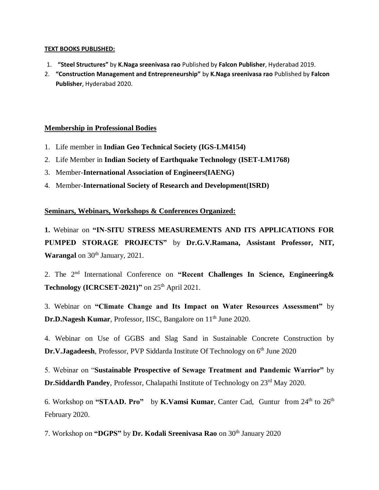#### **TEXT BOOKS PUBLISHED:**

- 1. **"Steel Structures"** by **K.Naga sreenivasa rao** Published by **Falcon Publisher**, Hyderabad 2019.
- 2. **"Construction Management and Entrepreneurship"** by **K.Naga sreenivasa rao** Published by **Falcon Publisher**, Hyderabad 2020.

### **Membership in Professional Bodies**

- 1. Life member in **Indian Geo Technical Society (IGS-LM4154)**
- 2. Life Member in **Indian Society of Earthquake Technology (ISET-LM1768)**
- 3. Member-**International Association of Engineers(IAENG)**
- 4. Member-**International Society of Research and Development(ISRD)**

### **Seminars, Webinars, Workshops & Conferences Organized:**

**1.** Webinar on **"IN-SITU STRESS MEASUREMENTS AND ITS APPLICATIONS FOR PUMPED STORAGE PROJECTS"** by **Dr.G.V.Ramana, Assistant Professor, NIT, Warangal** on 30<sup>th</sup> January, 2021.

2. The 2<sup>nd</sup> International Conference on "Recent Challenges In Science, Engineering & **Technology (ICRCSET-2021)"** on  $25<sup>th</sup>$  April 2021.

3. Webinar on **"Climate Change and Its Impact on Water Resources Assessment"** by **Dr.D.Nagesh Kumar**, Professor, IISC, Bangalore on 11<sup>th</sup> June 2020.

4. Webinar on Use of GGBS and Slag Sand in Sustainable Concrete Construction by **Dr.V.Jagadeesh**, Professor, PVP Siddarda Institute Of Technology on 6<sup>th</sup> June 2020

5. Webinar on "**Sustainable Prospective of Sewage Treatment and Pandemic Warrior"** by **Dr.Siddardh Pandey**, Professor, Chalapathi Institute of Technology on 23<sup>rd</sup> May 2020.

6. Workshop on **"STAAD. Pro"** by **K.Vamsi Kumar**, Canter Cad, Guntur from 24th to 26th February 2020.

7. Workshop on "DGPS" by Dr. Kodali Sreenivasa Rao on 30<sup>th</sup> January 2020